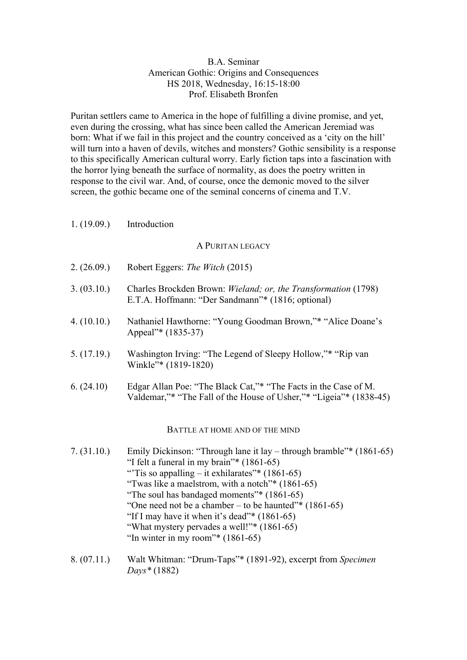## B.A. Seminar American Gothic: Origins and Consequences HS 2018, Wednesday, 16:15-18:00 Prof. Elisabeth Bronfen

Puritan settlers came to America in the hope of fulfilling a divine promise, and yet, even during the crossing, what has since been called the American Jeremiad was born: What if we fail in this project and the country conceived as a 'city on the hill' will turn into a haven of devils, witches and monsters? Gothic sensibility is a response to this specifically American cultural worry. Early fiction taps into a fascination with the horror lying beneath the surface of normality, as does the poetry written in response to the civil war. And, of course, once the demonic moved to the silver screen, the gothic became one of the seminal concerns of cinema and T.V.

1. (19.09.) Introduction

### A PURITAN LEGACY

- 2. (26.09.) Robert Eggers: *The Witch* (2015)
- 3. (03.10.) Charles Brockden Brown: *Wieland; or, the Transformation* (1798) E.T.A. Hoffmann: "Der Sandmann"\* (1816; optional)
- 4. (10.10.) Nathaniel Hawthorne: "Young Goodman Brown,"\* "Alice Doane's Appeal"\* (1835-37)
- 5. (17.19.) Washington Irving: "The Legend of Sleepy Hollow,"\* "Rip van Winkle"\* (1819-1820)
- 6. (24.10) Edgar Allan Poe: "The Black Cat,"\* "The Facts in the Case of M. Valdemar,"\* "The Fall of the House of Usher,"\* "Ligeia"\* (1838-45)

#### BATTLE AT HOME AND OF THE MIND

- 7. (31.10.) Emily Dickinson: "Through lane it lay through bramble"\* (1861-65) "I felt a funeral in my brain"\* (1861-65) "Tis so appalling – it exhilarates"\*  $(1861-65)$ "Twas like a maelstrom, with a notch"\* (1861-65) "The soul has bandaged moments"\* (1861-65) "One need not be a chamber – to be haunted" $*(1861-65)$ "If I may have it when it's dead"\*  $(1861-65)$ "What mystery pervades a well!"\* (1861-65) "In winter in my room"\*  $(1861-65)$
- 8. (07.11.) Walt Whitman: "Drum-Taps"\* (1891-92), excerpt from *Specimen Days\** (1882)